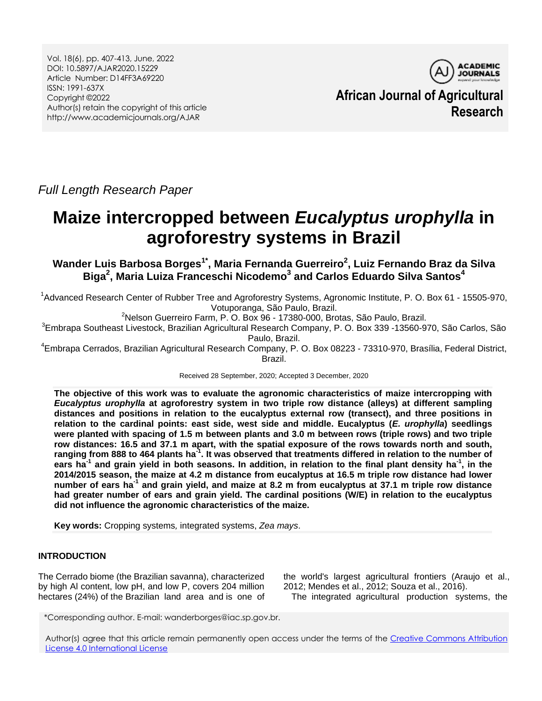Vol. 18(6), pp. 407-413, June, 2022 DOI: 10.5897/AJAR2020.15229 Article Number: D14FF3A69220 ISSN: 1991-637X Copyright ©2022 Author(s) retain the copyright of this article http://www.academicjournals.org/AJAR



**African Journal of Agricultural Research**

*Full Length Research Paper*

# **Maize intercropped between** *Eucalyptus urophylla* **in agroforestry systems in Brazil**

**Wander Luis Barbosa Borges1\* , Maria Fernanda Guerreiro<sup>2</sup> , Luiz Fernando Braz da Silva Biga<sup>2</sup> , Maria Luiza Franceschi Nicodemo<sup>3</sup> and Carlos Eduardo Silva Santos<sup>4</sup>**

 $1/1$ Advanced Research Center of Rubber Tree and Agroforestry Systems, Agronomic Institute, P. O. Box 61 - 15505-970, Votuporanga, São Paulo, Brazil.

<sup>2</sup>Nelson Guerreiro Farm, P. O. Box 96 - 17380-000, Brotas, São Paulo, Brazil.

<sup>3</sup>Embrapa Southeast Livestock, Brazilian Agricultural Research Company, P. O. Box 339 -13560-970, São Carlos, São Paulo, Brazil.

<sup>4</sup>Embrapa Cerrados, Brazilian Agricultural Research Company, P. O. Box 08223 - 73310-970, Brasília, Federal District, Brazil.

Received 28 September, 2020; Accepted 3 December, 2020

**The objective of this work was to evaluate the agronomic characteristics of maize intercropping with**  *Eucalyptus urophylla* **at agroforestry system in two triple row distance (alleys) at different sampling distances and positions in relation to the eucalyptus external row (transect), and three positions in relation to the cardinal points: east side, west side and middle. Eucalyptus (***E. urophylla***) seedlings were planted with spacing of 1.5 m between plants and 3.0 m between rows (triple rows) and two triple row distances: 16.5 and 37.1 m apart, with the spatial exposure of the rows towards north and south, ranging from 888 to 464 plants ha-1 . It was observed that treatments differed in relation to the number of ears ha-1 and grain yield in both seasons. In addition, in relation to the final plant density ha-1 , in the 2014/2015 season, the maize at 4.2 m distance from eucalyptus at 16.5 m triple row distance had lower number of ears ha-1 and grain yield, and maize at 8.2 m from eucalyptus at 37.1 m triple row distance had greater number of ears and grain yield. The cardinal positions (W/E) in relation to the eucalyptus did not influence the agronomic characteristics of the maize.**

**Key words:** Cropping systems*,* integrated systems, *Zea mays*.

## **INTRODUCTION**

The Cerrado biome (the Brazilian savanna), characterized by high Al content, low pH, and low P, covers 204 million hectares (24%) of the Brazilian land area and is one of the world's largest agricultural frontiers (Araujo et al., 2012; Mendes et al., 2012; Souza et al., 2016).

The integrated agricultural production systems, the

\*Corresponding author. E-mail: wanderborges@iac.sp.gov.br.

Author(s) agree that this article remain permanently open access under the terms of the [Creative Commons Attribution](http://creativecommons.org/licenses/by/4.0/deed.en_US)  [License 4.0 International License](http://creativecommons.org/licenses/by/4.0/deed.en_US)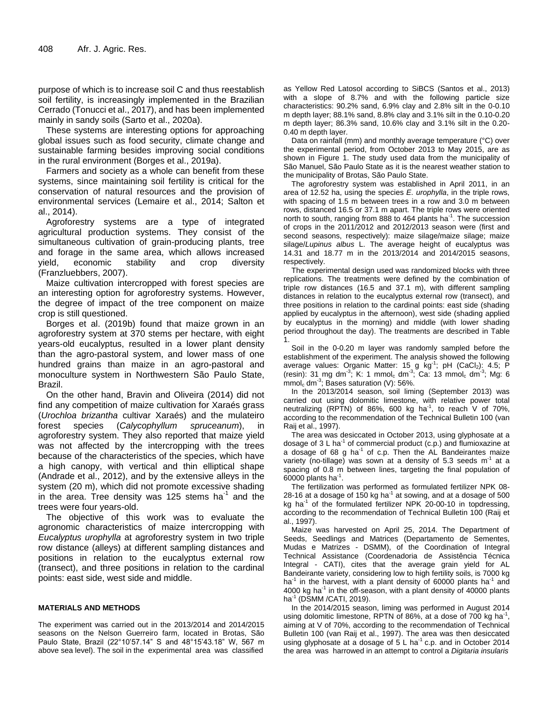purpose of which is to increase soil C and thus reestablish soil fertility, is increasingly implemented in the Brazilian Cerrado (Tonucci et al., 2017), and has been implemented mainly in sandy soils (Sarto et al., 2020a).

These systems are interesting options for approaching global issues such as food security, climate change and sustainable farming besides improving social conditions in the rural environment (Borges et al., 2019a).

Farmers and society as a whole can benefit from these systems, since maintaining soil fertility is critical for the conservation of natural resources and the provision of environmental services (Lemaire et al., 2014; Salton et al., 2014).

Agroforestry systems are a type of integrated agricultural production systems. They consist of the simultaneous cultivation of grain-producing plants, tree and forage in the same area, which allows increased yield, economic stability and crop diversity (Franzluebbers, 2007).

Maize cultivation intercropped with forest species are an interesting option for agroforestry systems. However, the degree of impact of the tree component on maize crop is still questioned.

Borges et al. (2019b) found that maize grown in an agroforestry system at 370 stems per hectare, with eight years-old eucalyptus, resulted in a lower plant density than the agro-pastoral system, and lower mass of one hundred grains than maize in an agro-pastoral and monoculture system in Northwestern São Paulo State, Brazil.

On the other hand, Bravin and Oliveira (2014) did not find any competition of maize cultivation for Xaraés grass (*Urochloa brizantha* cultivar Xaraés) and the mulateiro forest species (*Calycophyllum spruceanum*), in agroforestry system. They also reported that maize yield was not affected by the intercropping with the trees because of the characteristics of the species, which have a high canopy, with vertical and thin elliptical shape (Andrade et al., 2012), and by the extensive alleys in the system (20 m), which did not promote excessive shading in the area. Tree density was 125 stems ha $<sup>1</sup>$  and the</sup> trees were four years-old.

The objective of this work was to evaluate the agronomic characteristics of maize intercropping with *Eucalyptus urophylla* at agroforestry system in two triple row distance (alleys) at different sampling distances and positions in relation to the eucalyptus external row (transect), and three positions in relation to the cardinal points: east side, west side and middle.

#### **MATERIALS AND METHODS**

The experiment was carried out in the 2013/2014 and 2014/2015 seasons on the Nelson Guerreiro farm, located in Brotas, São Paulo State, Brazil (22°10'57.14" S and 48°15'43.18" W, 567 m above sea level). The soil in the experimental area was classified

as Yellow Red Latosol according to SiBCS (Santos et al., 2013) with a slope of 8.7% and with the following particle size characteristics: 90.2% sand, 6.9% clay and 2.8% silt in the 0-0.10 m depth layer; 88.1% sand, 8.8% clay and 3.1% silt in the 0.10-0.20 m depth layer; 86.3% sand, 10.6% clay and 3.1% silt in the 0.20- 0.40 m depth layer.

Data on rainfall (mm) and monthly average temperature (°C) over the experimental period, from October 2013 to May 2015, are as shown in Figure 1. The study used data from the municipality of São Manuel, São Paulo State as it is the nearest weather station to the municipality of Brotas, São Paulo State.

The agroforestry system was established in April 2011, in an area of 12.52 ha, using the species *E. urophylla*, in the triple rows, with spacing of 1.5 m between trees in a row and 3.0 m between rows, distanced 16.5 or 37.1 m apart. The triple rows were oriented north to south, ranging from 888 to 464 plants ha<sup>-1</sup>. The succession of crops in the 2011/2012 and 2012/2013 season were (first and second seasons, respectively): maize silage/maize silage; maize silage/*Lupinus albus* L. The average height of eucalyptus was 14.31 and 18.77 m in the 2013/2014 and 2014/2015 seasons, respectively.

The experimental design used was randomized blocks with three replications. The treatments were defined by the combination of triple row distances (16.5 and 37.1 m), with different sampling distances in relation to the eucalyptus external row (transect), and three positions in relation to the cardinal points: east side (shading applied by eucalyptus in the afternoon), west side (shading applied by eucalyptus in the morning) and middle (with lower shading period throughout the day). The treatments are described in Table 1.

Soil in the 0-0.20 m layer was randomly sampled before the establishment of the experiment. The analysis showed the following average values: Organic Matter: 15 g kg<sup>-1</sup>; pH (CaCl<sub>2</sub>): 4.5; P (resin): 31 mg dm<sup>-3</sup>; K: 1 mmol<sub>c</sub> dm<sup>-3</sup>; Ca: 13 mmol<sub>c</sub> dm<sup>-3</sup>; Mg: 6  $\mathsf{mmol}_c \, \mathsf{dm}^{-3}$ ; Bases saturation (V): 56%.

In the 2013/2014 season, soil liming (September 2013) was carried out using dolomitic limestone, with relative power total neutralizing (RPTN) of 86%, 600 kg ha<sup>-1</sup>, to reach V of 70%, according to the recommendation of the Technical Bulletin 100 (van Raij et al., 1997).

The area was desiccated in October 2013, using glyphosate at a dosage of  $3 L$  ha<sup>-1</sup> of commercial product (c.p.) and flumioxazine at a dosage of 68 g ha $^{-1}$  of c.p. Then the AL Bandeirantes maize variety (no-tillage) was sown at a density of 5.3 seeds  $m<sup>-1</sup>$  at a spacing of 0.8 m between lines, targeting the final population of  $60000$  plants ha<sup>-1</sup>.

The fertilization was performed as formulated fertilizer NPK 08- 28-16 at a dosage of 150 kg ha<sup>-1</sup> at sowing, and at a dosage of 500 kg ha<sup>-1</sup> of the formulated fertilizer NPK 20-00-10 in topdressing, according to the recommendation of Technical Bulletin 100 (Raij et al., 1997).

Maize was harvested on April 25, 2014. The Department of Seeds, Seedlings and Matrices (Departamento de Sementes, Mudas e Matrizes - DSMM), of the Coordination of Integral Technical Assistance (Coordenadoria de Assistência Técnica Integral - CATI), cites that the average grain yield for AL Bandeirante variety, considering low to high fertility soils, is 7000 kg ha<sup>-1</sup> in the harvest, with a plant density of 60000 plants ha<sup>-1</sup> and 4000 kg ha<sup>-1</sup> in the off-season, with a plant density of 40000 plants ha-1 (DSMM /CATI, 2019).

In the 2014/2015 season, liming was performed in August 2014 using dolomitic limestone, RPTN of 86%, at a dose of 700 kg ha<sup>-1</sup> , aiming at V of 70%, according to the recommendation of Technical Bulletin 100 (van Raij et al., 1997). The area was then desiccated using glyphosate at a dosage of  $5 \text{ L}$  ha<sup>-1</sup> c.p. and in October 2014 the area was harrowed in an attempt to control a *Digitaria insularis*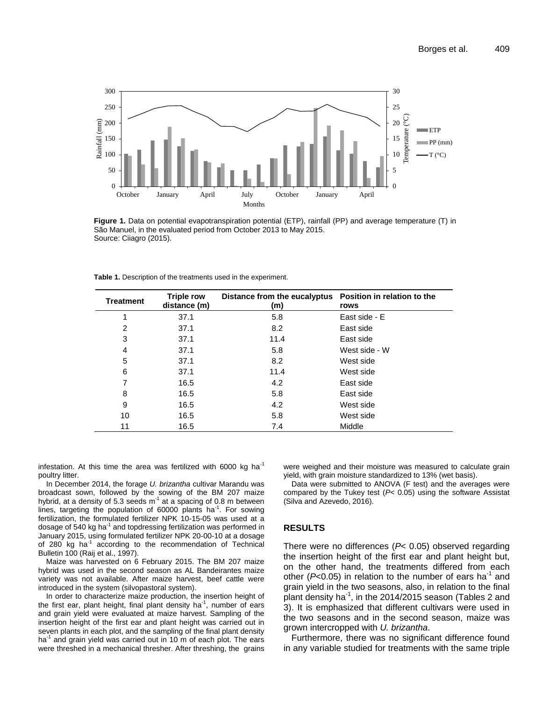

**Figure 1.** Data on potential evapotranspiration potential (ETP), rainfall (PP) and average temperature (T) in São Manuel, in the evaluated period from October 2013 to May 2015. Source: Ciiagro (2015).

| <b>Treatment</b> | <b>Triple row</b><br>distance (m) | Distance from the eucalyptus<br>(m) | Position in relation to the<br>rows |
|------------------|-----------------------------------|-------------------------------------|-------------------------------------|
| 1                | 37.1                              | 5.8                                 | East side - E                       |
| $\overline{2}$   | 37.1                              | 8.2                                 | East side                           |
| 3                | 37.1                              | 11.4                                | East side                           |
| 4                | 37.1                              | 5.8                                 | West side - W                       |
| 5                | 37.1                              | 8.2                                 | West side                           |
| 6                | 37.1                              | 11.4                                | West side                           |
| 7                | 16.5                              | 4.2                                 | East side                           |
| 8                | 16.5                              | 5.8                                 | East side                           |
| 9                | 16.5                              | 4.2                                 | West side                           |
| 10               | 16.5                              | 5.8                                 | West side                           |
| 11               | 16.5                              | 7.4                                 | Middle                              |

**Table 1.** Description of the treatments used in the experiment.

infestation. At this time the area was fertilized with 6000 kg ha $^{-1}$ poultry litter.

In December 2014, the forage *U. brizantha* cultivar Marandu was broadcast sown, followed by the sowing of the BM 207 maize hybrid, at a density of 5.3 seeds  $m<sup>-1</sup>$  at a spacing of 0.8 m between lines, targeting the population of 60000 plants ha<sup>-1</sup>. For sowing fertilization, the formulated fertilizer NPK 10-15-05 was used at a dosage of 540 kg ha<sup>-1</sup> and topdressing fertilization was performed in January 2015, using formulated fertilizer NPK 20-00-10 at a dosage of 280 kg ha<sup>-1</sup> according to the recommendation of Technical Bulletin 100 (Raij et al., 1997).

Maize was harvested on 6 February 2015. The BM 207 maize hybrid was used in the second season as AL Bandeirantes maize variety was not available. After maize harvest, beef cattle were introduced in the system (silvopastoral system).

In order to characterize maize production, the insertion height of the first ear, plant height, final plant density ha<sup>-1</sup>, number of ears and grain yield were evaluated at maize harvest. Sampling of the insertion height of the first ear and plant height was carried out in seven plants in each plot, and the sampling of the final plant density ha<sup>-1</sup> and grain yield was carried out in 10 m of each plot. The ears were threshed in a mechanical thresher. After threshing, the grains

were weighed and their moisture was measured to calculate grain yield, with grain moisture standardized to 13% (wet basis).

Data were submitted to ANOVA (F test) and the averages were compared by the Tukey test (*P*< 0.05) using the software Assistat (Silva and Azevedo, 2016).

#### **RESULTS**

There were no differences (*P*< 0.05) observed regarding the insertion height of the first ear and plant height but, on the other hand, the treatments differed from each other ( $P$ <0.05) in relation to the number of ears ha<sup>-1</sup> and grain yield in the two seasons, also, in relation to the final plant density ha<sup>-1</sup>, in the 2014/2015 season (Tables 2 and 3). It is emphasized that different cultivars were used in the two seasons and in the second season, maize was grown intercropped with *U. brizantha*.

Furthermore, there was no significant difference found in any variable studied for treatments with the same triple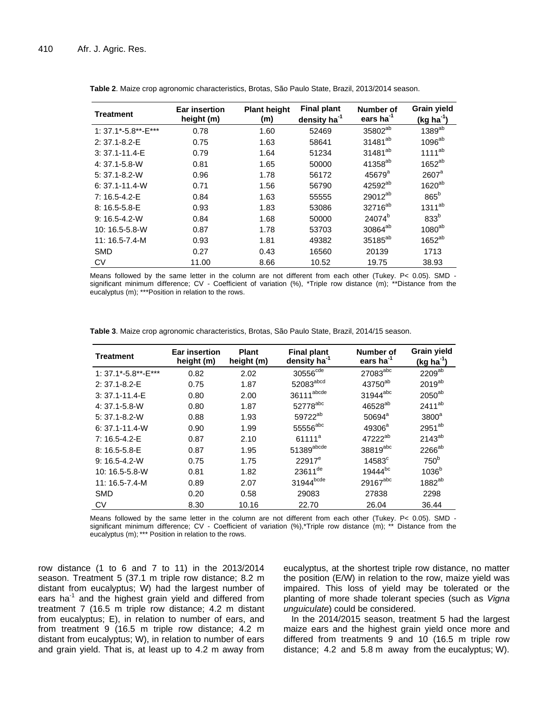| Treatment            | <b>Ear insertion</b><br>height (m) | <b>Plant height</b><br>(m) |       | Number of<br>ears ha <sup>-1</sup> | Grain yield<br>$(kg ha-1)$ |  |
|----------------------|------------------------------------|----------------------------|-------|------------------------------------|----------------------------|--|
| 1: 37.1*-5.8**-E***  | 0.78                               | 1.60                       | 52469 | 35802 <sup>ab</sup>                | 1389 <sup>ab</sup>         |  |
| $2: 37.1 - 8.2 - E$  | 0.75                               | 1.63                       | 58641 | 31481 <sup>ab</sup>                | 1096 <sup>ab</sup>         |  |
| $3:37.1 - 11.4 - E$  | 0.79                               | 1.64                       | 51234 | 31481 <sup>ab</sup>                | $1111^{ab}$                |  |
| 4: 37.1-5.8-W        | 0.81                               | 1.65                       | 50000 | 41358 <sup>ab</sup>                | $1652^{ab}$                |  |
| $5: 37.1 - 8.2 - W$  | 0.96                               | 1.78                       | 56172 | $45679$ <sup>a</sup>               | $2607$ <sup>a</sup>        |  |
| $6: 37.1 - 11.4 - W$ | 0.71                               | 1.56                       | 56790 | 42592 <sup>ab</sup>                | $1620^{ab}$                |  |
| 7: 16.5-4.2-E        | 0.84                               | 1.63                       | 55555 | 29012 <sup>ab</sup>                | $865^b$                    |  |
| 8: 16.5-5.8-E        | 0.93                               | 1.83                       | 53086 | 32716 <sup>ab</sup>                | $1311^{ab}$                |  |
| $9:16.5 - 4.2 - W$   | 0.84                               | 1.68                       | 50000 | 24074 <sup>b</sup>                 | 833 <sup>b</sup>           |  |
| 10: 16.5-5.8-W       | 0.87                               | 1.78                       | 53703 | 30864 <sup>ab</sup>                | $1080^{ab}$                |  |
| $11:16.5 - 7.4 - M$  | 0.93                               | 1.81                       | 49382 | 35185 <sup>ab</sup>                | $1652^{ab}$                |  |
| <b>SMD</b>           | 0.27                               | 0.43                       | 16560 | 20139                              | 1713                       |  |
| <b>CV</b>            | 11.00                              | 8.66                       | 10.52 | 19.75                              | 38.93                      |  |

**Table 2**. Maize crop agronomic characteristics, Brotas, São Paulo State, Brazil, 2013/2014 season.

Means followed by the same letter in the column are not different from each other (Tukey. P< 0.05). SMD significant minimum difference; CV - Coefficient of variation (%), \*Triple row distance (m); \*\*Distance from the eucalyptus (m); \*\*\*Position in relation to the rows.

**Table 3**. Maize crop agronomic characteristics, Brotas, São Paulo State, Brazil, 2014/15 season.

| Treatment            | <b>Ear insertion</b><br>height (m) | <b>Plant</b><br>height (m) | <b>Final plant</b><br>density ha <sup>-1</sup> | Number of<br>ears ha <sup>-1</sup> | <b>Grain yield</b><br>(kg ha <sup>-1</sup> ) |
|----------------------|------------------------------------|----------------------------|------------------------------------------------|------------------------------------|----------------------------------------------|
| 1: 37.1*-5.8**-E***  | 0.82                               | 2.02                       | 30556 <sup>cde</sup>                           | 27083abc                           | $2209^{ab}$                                  |
| $2: 37.1 - 8.2 - E$  | 0.75                               | 1.87                       | $52083^{\text{abcd}}$                          | 43750 <sup>ab</sup>                | 2019 <sup>ab</sup>                           |
| $3:37.1 - 11.4 - E$  | 0.80                               | 2.00                       | 36111 <sup>abcde</sup>                         | 31944abc                           | $2050^{ab}$                                  |
| $4:37.1 - 5.8 - W$   | 0.80                               | 1.87                       | 52778abc                                       | 46528 <sup>ab</sup>                | 2411 <sup>ab</sup>                           |
| $5: 37.1 - 8.2 - W$  | 0.88                               | 1.93                       | 59722 <sup>ab</sup>                            | $50694^a$                          | 3800 <sup>a</sup>                            |
| $6: 37.1 - 11.4 - W$ | 0.90                               | 1.99                       | 55556 <sup>abc</sup>                           | $49306^a$                          | 2951 <sup>ab</sup>                           |
| 7: 16.5-4.2-E        | 0.87                               | 2.10                       | 61111 <sup>a</sup>                             | 47222 <sup>ab</sup>                | $2143^{ab}$                                  |
| 8: 16.5-5.8-E        | 0.87                               | 1.95                       | $51389^{\text{abcde}}$                         | 38819abc                           | 2266 <sup>ab</sup>                           |
| $9:16.5 - 4.2 - W$   | 0.75                               | 1.75                       | $22917^e$                                      | $14583$ <sup>c</sup>               | 750 <sup>b</sup>                             |
| 10: 16.5-5.8-W       | 0.81                               | 1.82                       | 23611 <sup>de</sup>                            | 19444 <sup>bc</sup>                | 1036 <sup>b</sup>                            |
| $11:16.5 - 7.4 - M$  | 0.89                               | 2.07                       | 31944bcde                                      | 29167abc                           | 1882 <sup>ab</sup>                           |
| <b>SMD</b>           | 0.20                               | 0.58                       | 29083                                          | 27838                              | 2298                                         |
| CV                   | 8.30                               | 10.16                      | 22.70                                          | 26.04                              | 36.44                                        |

Means followed by the same letter in the column are not different from each other (Tukey. P< 0.05). SMD significant minimum difference; CV - Coefficient of variation (%),\*Triple row distance (m); \*\* Distance from the eucalyptus (m); \*\*\* Position in relation to the rows.

row distance (1 to 6 and 7 to 11) in the 2013/2014 season. Treatment 5 (37.1 m triple row distance; 8.2 m distant from eucalyptus; W) had the largest number of ears ha $^{-1}$  and the highest grain yield and differed from treatment 7 (16.5 m triple row distance; 4.2 m distant from eucalyptus; E), in relation to number of ears, and from treatment 9 (16.5 m triple row distance; 4.2 m distant from eucalyptus; W), in relation to number of ears and grain yield. That is, at least up to 4.2 m away from

eucalyptus, at the shortest triple row distance, no matter the position (E/W) in relation to the row, maize yield was impaired. This loss of yield may be tolerated or the planting of more shade tolerant species (such as *Vigna unguiculate*) could be considered.

In the 2014/2015 season, treatment 5 had the largest maize ears and the highest grain yield once more and differed from treatments 9 and 10 (16.5 m triple row distance; 4.2 and 5.8 m away from the eucalyptus; W).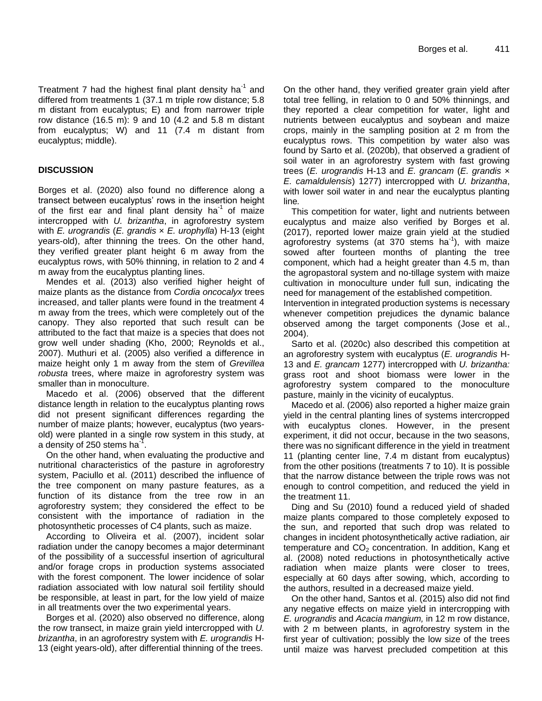Treatment 7 had the highest final plant density ha $^{-1}$  and differed from treatments 1 (37.1 m triple row distance; 5.8 m distant from eucalyptus; E) and from narrower triple row distance (16.5 m): 9 and 10 (4.2 and 5.8 m distant from eucalyptus; W) and 11 (7.4 m distant from eucalyptus; middle).

## **DISCUSSION**

Borges et al. (2020) also found no difference along a transect between eucalyptus' rows in the insertion height of the first ear and final plant density ha<sup>-1</sup> of maize intercropped with *U. brizantha*, in agroforestry system with *E. urograndis* (*E. grandis* × *E. urophylla*) H-13 (eight years-old), after thinning the trees. On the other hand, they verified greater plant height 6 m away from the eucalyptus rows, with 50% thinning, in relation to 2 and 4 m away from the eucalyptus planting lines.

Mendes et al. (2013) also verified higher height of maize plants as the distance from *Cordia oncocalyx* trees increased, and taller plants were found in the treatment 4 m away from the trees, which were completely out of the canopy. They also reported that such result can be attributed to the fact that maize is a species that does not grow well under shading (Kho, 2000; Reynolds et al., 2007). Muthuri et al. (2005) also verified a difference in maize height only 1 m away from the stem of *Grevillea robusta* trees, where maize in agroforestry system was smaller than in monoculture.

Macedo et al. (2006) observed that the different distance length in relation to the eucalyptus planting rows did not present significant differences regarding the number of maize plants; however, eucalyptus (two yearsold) were planted in a single row system in this study, at a density of 250 stems ha $^{\text{-}7}$ .

On the other hand, when evaluating the productive and nutritional characteristics of the pasture in agroforestry system, Paciullo et al. (2011) described the influence of the tree component on many pasture features, as a function of its distance from the tree row in an agroforestry system; they considered the effect to be consistent with the importance of radiation in the photosynthetic processes of C4 plants, such as maize.

According to Oliveira et al. (2007), incident solar radiation under the canopy becomes a major determinant of the possibility of a successful insertion of agricultural and/or forage crops in production systems associated with the forest component. The lower incidence of solar radiation associated with low natural soil fertility should be responsible, at least in part, for the low yield of maize in all treatments over the two experimental years.

Borges et al. (2020) also observed no difference, along the row transect, in maize grain yield intercropped with *U. brizantha*, in an agroforestry system with *E. urograndis* H-13 (eight years-old), after differential thinning of the trees.

On the other hand, they verified greater grain yield after total tree felling, in relation to 0 and 50% thinnings, and they reported a clear competition for water, light and nutrients between eucalyptus and soybean and maize crops, mainly in the sampling position at 2 m from the eucalyptus rows. This competition by water also was found by Sarto et al. (2020b), that observed a gradient of soil water in an agroforestry system with fast growing trees (*E. urograndis* H-13 and *E. grancam* (*E. grandis* × *E. camaldulensis*) 1277) intercropped with *U. brizantha*, with lower soil water in and near the eucalyptus planting line*.* 

This competition for water, light and nutrients between eucalyptus and maize also verified by Borges et al. (2017), reported lower maize grain yield at the studied agroforestry systems (at 370 stems ha<sup>-1</sup>), with maize sowed after fourteen months of planting the tree component, which had a height greater than 4.5 m, than the agropastoral system and no-tillage system with maize cultivation in monoculture under full sun, indicating the need for management of the established competition.

Intervention in integrated production systems is necessary whenever competition prejudices the dynamic balance observed among the target components (Jose et al., 2004).

Sarto et al. (2020c) also described this competition at an agroforestry system with eucalyptus (*E. urograndis* H-13 and *E. grancam* 1277) intercropped with *U. brizantha:*  grass root and shoot biomass were lower in the agroforestry system compared to the monoculture pasture, mainly in the vicinity of eucalyptus.

Macedo et al. (2006) also reported a higher maize grain yield in the central planting lines of systems intercropped with eucalyptus clones. However, in the present experiment, it did not occur, because in the two seasons, there was no significant difference in the yield in treatment 11 (planting center line, 7.4 m distant from eucalyptus) from the other positions (treatments 7 to 10). It is possible that the narrow distance between the triple rows was not enough to control competition, and reduced the yield in the treatment 11.

Ding and Su (2010) found a reduced yield of shaded maize plants compared to those completely exposed to the sun, and reported that such drop was related to changes in incident photosynthetically active radiation, air temperature and  $CO<sub>2</sub>$  concentration. In addition, Kang et al. (2008) noted reductions in photosynthetically active radiation when maize plants were closer to trees, especially at 60 days after sowing, which, according to the authors, resulted in a decreased maize yield.

On the other hand, Santos et al. (2015) also did not find any negative effects on maize yield in intercropping with *E. urograndis* and *Acacia mangium,* in 12 m row distance, with 2 m between plants, in agroforestry system in the first year of cultivation; possibly the low size of the trees until maize was harvest precluded competition at this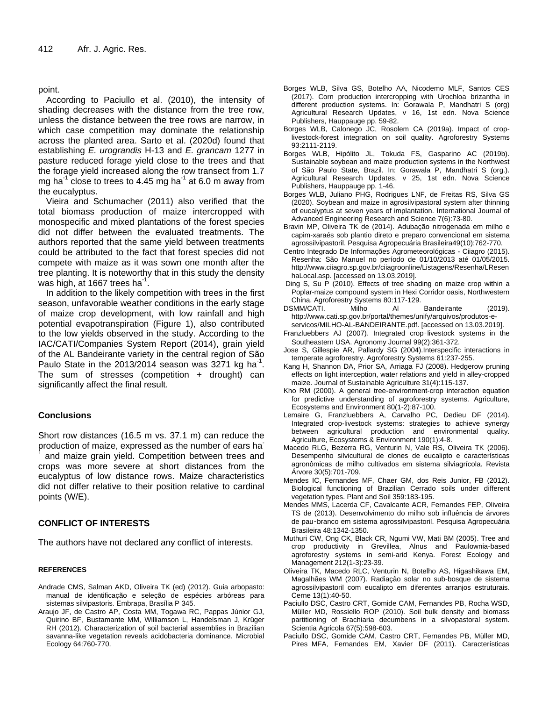point.

According to Paciullo et al. (2010), the intensity of shading decreases with the distance from the tree row, unless the distance between the tree rows are narrow, in which case competition may dominate the relationship across the planted area. Sarto et al. (2020d) found that establishing *E. urograndis* H-13 and *E. grancam* 1277 in pasture reduced forage yield close to the trees and that the forage yield increased along the row transect from 1.7 mg ha<sup>-1</sup> close to trees to 4.45 mg ha<sup>-1</sup> at 6.0 m away from the eucalyptus.

Vieira and Schumacher (2011) also verified that the total biomass production of maize intercropped with monospecific and mixed plantations of the forest species did not differ between the evaluated treatments. The authors reported that the same yield between treatments could be attributed to the fact that forest species did not compete with maize as it was sown one month after the tree planting. It is noteworthy that in this study the density was high, at 1667 trees ha $^{\text{-}1}$ .

In addition to the likely competition with trees in the first season, unfavorable weather conditions in the early stage of maize crop development, with low rainfall and high potential evapotranspiration (Figure 1), also contributed to the low yields observed in the study. According to the IAC/CATI/Companies System Report (2014), grain yield of the AL Bandeirante variety in the central region of São Paulo State in the 2013/2014 season was 3271 kg ha<sup>-1</sup>. The sum of stresses (competition + drought) can significantly affect the final result.

### **Conclusions**

Short row distances (16.5 m vs. 37.1 m) can reduce the production of maize, expressed as the number of ears ha-1 and maize grain yield. Competition between trees and crops was more severe at short distances from the eucalyptus of low distance rows. Maize characteristics did not differ relative to their position relative to cardinal points (W/E).

### **CONFLICT OF INTERESTS**

The authors have not declared any conflict of interests.

#### **REFERENCES**

- Andrade CMS, Salman AKD, Oliveira TK (ed) (2012). Guia arbopasto: manual de identificação e seleção de espécies arbóreas para sistemas silvipastoris. Embrapa, Brasília P 345.
- Araujo JF, de Castro AP, Costa MM, Togawa RC, Pappas Júnior GJ, Quirino BF, Bustamante MM, Williamson L, Handelsman J, Krüger RH (2012). Characterization of soil bacterial assemblies in Brazilian savanna-like vegetation reveals acidobacteria dominance. Microbial Ecology 64:760-770.
- Borges WLB, Silva GS, Botelho AA, Nicodemo MLF, Santos CES (2017). Corn production intercropping with Urochloa brizantha in different production systems. In: Gorawala P, Mandhatri S (org) Agricultural Research Updates, v 16, 1st edn. Nova Science Publishers, Hauppauge pp. 59-82.
- Borges WLB, Calonego JC, Rosolem CA (2019a). Impact of croplivestock-forest integration on soil quality. Agroforestry Systems 93:2111-2119.
- Borges WLB, Hipólito JL, Tokuda FS, Gasparino AC (2019b). Sustainable soybean and maize production systems in the Northwest of São Paulo State, Brazil. In: Gorawala P, Mandhatri S (org.). Agricultural Research Updates, v 25, 1st edn. Nova Science Publishers, Hauppauge pp. 1-46.
- Borges WLB, Juliano PHG, Rodrigues LNF, de Freitas RS, Silva GS (2020). Soybean and maize in agrosilvipastoral system after thinning of eucalyptus at seven years of implantation. International Journal of Advanced Engineering Research and Science 7(6):73-80.
- Bravin MP, Oliveira TK de (2014). Adubação nitrogenada em milho e capim-xaraés sob plantio direto e preparo convencional em sistema agrossilvipastoril. Pesquisa Agropecuária Brasileira49(10):762-770.
- Centro Integrado De Informações Agrometeorológicas Ciiagro (2015). Resenha: São Manuel no período de 01/10/2013 até 01/05/2015. http://www.ciiagro.sp.gov.br/ciiagroonline/Listagens/Resenha/LResen haLocal.asp. [accessed on 13.03.2019].
- Ding S, Su P (2010). Effects of tree shading on maize crop within a Poplar-maize compound system in Hexi Corridor oasis, Northwestern China. Agroforestry Systems 80:117-129.
- DSMM/CATI. Milho Al Bandeirante (2019). http://www.cati.sp.gov.br/portal/themes/unify/arquivos/produtos-e-
- servicos/MILHO-AL-BANDEIRANTE.pdf. [accessed on 13.03.2019]. Franzluebbers AJ (2007). Integrated crop‑livestock systems in the Southeastern USA. Agronomy Journal 99(2):361-372.
- Jose S, Gillespie AR, Pallardy SG (2004).Interspecific interactions in temperate agroforestry. Agroforestry Systems 61:237-255.
- Kang H, Shannon DA, Prior SA, Arriaga FJ (2008). Hedgerow pruning effects on light interception, water relations and yield in alley-cropped maize. Journal of Sustainable Agriculture 31(4):115-137.
- Kho RM (2000). A general tree-environment-crop interaction equation for predictive understanding of agroforestry systems. Agriculture, Ecosystems and Environment 80(1-2):87-100.
- Lemaire G, Franzluebbers A, Carvalho PC, Dedieu DF (2014). Integrated crop-livestock systems: strategies to achieve synergy between agricultural production and environmental quality. Agriculture, Ecosystems & Environment 190(1):4-8.
- Macedo RLG, Bezerra RG, Venturin N, Vale RS, Oliveira TK (2006). Desempenho silvicultural de clones de eucalipto e características agronômicas de milho cultivados em sistema silviagrícola. Revista Árvore 30(5):701-709.
- Mendes IC, Fernandes MF, Chaer GM, dos Reis Junior, FB (2012). Biological functioning of Brazilian Cerrado soils under different vegetation types. Plant and Soil 359:183-195.
- Mendes MMS, Lacerda CF, Cavalcante ACR, Fernandes FEP, Oliveira TS de (2013). Desenvolvimento do milho sob influência de árvores de pau‑branco em sistema agrossilvipastoril. Pesquisa Agropecuária Brasileira 48:1342-1350.
- Muthuri CW, Ong CK, Black CR, Ngumi VW, Mati BM (2005). Tree and crop productivity in Grevillea, Alnus and Paulownia-based agroforestry systems in semi-arid Kenya. Forest Ecology and Management 212(1-3):23-39.
- Oliveira TK, Macedo RLC, Venturin N, Botelho AS, Higashikawa EM, Magalhães WM (2007). Radiação solar no sub-bosque de sistema agrossilvipastoril com eucalipto em diferentes arranjos estruturais. Cerne 13(1):40-50.
- Paciullo DSC, Castro CRT, Gomide CAM, Fernandes PB, Rocha WSD, Müller MD, Rossiello ROP (2010). Soil bulk density and biomass partitioning of Brachiaria decumbens in a silvopastoral system. Scientia Agricola 67(5):598-603.
- Paciullo DSC, Gomide CAM, Castro CRT, Fernandes PB, Müller MD, Pires MFA, Fernandes EM, Xavier DF (2011). Características